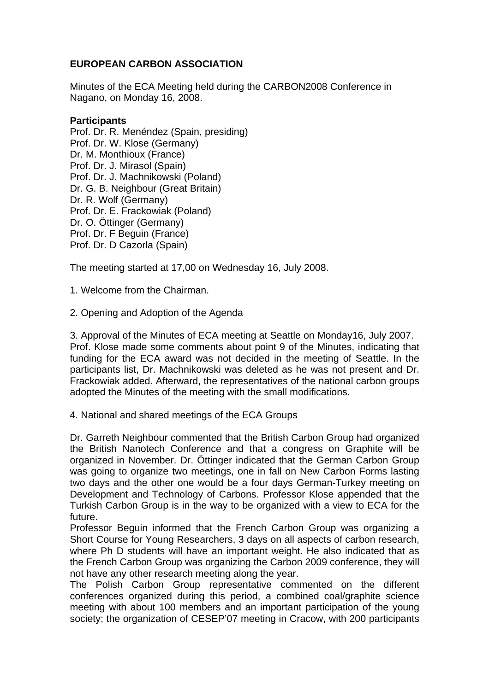## **EUROPEAN CARBON ASSOCIATION**

Minutes of the ECA Meeting held during the CARBON2008 Conference in Nagano, on Monday 16, 2008.

## **Participants**

Prof. Dr. R. Menéndez (Spain, presiding) Prof. Dr. W. Klose (Germany) Dr. M. Monthioux (France) Prof. Dr. J. Mirasol (Spain) Prof. Dr. J. Machnikowski (Poland) Dr. G. B. Neighbour (Great Britain) Dr. R. Wolf (Germany) Prof. Dr. E. Frackowiak (Poland) Dr. O. Öttinger (Germany) Prof. Dr. F Beguin (France) Prof. Dr. D Cazorla (Spain)

The meeting started at 17,00 on Wednesday 16, July 2008.

1. Welcome from the Chairman.

2. Opening and Adoption of the Agenda

3. Approval of the Minutes of ECA meeting at Seattle on Monday16, July 2007. Prof. Klose made some comments about point 9 of the Minutes, indicating that funding for the ECA award was not decided in the meeting of Seattle. In the participants list, Dr. Machnikowski was deleted as he was not present and Dr. Frackowiak added. Afterward, the representatives of the national carbon groups adopted the Minutes of the meeting with the small modifications.

4. National and shared meetings of the ECA Groups

Dr. Garreth Neighbour commented that the British Carbon Group had organized the British Nanotech Conference and that a congress on Graphite will be organized in November. Dr. Öttinger indicated that the German Carbon Group was going to organize two meetings, one in fall on New Carbon Forms lasting two days and the other one would be a four days German-Turkey meeting on Development and Technology of Carbons. Professor Klose appended that the Turkish Carbon Group is in the way to be organized with a view to ECA for the future.

Professor Beguin informed that the French Carbon Group was organizing a Short Course for Young Researchers, 3 days on all aspects of carbon research, where Ph D students will have an important weight. He also indicated that as the French Carbon Group was organizing the Carbon 2009 conference, they will not have any other research meeting along the year.

The Polish Carbon Group representative commented on the different conferences organized during this period, a combined coal/graphite science meeting with about 100 members and an important participation of the young society; the organization of CESEP'07 meeting in Cracow, with 200 participants